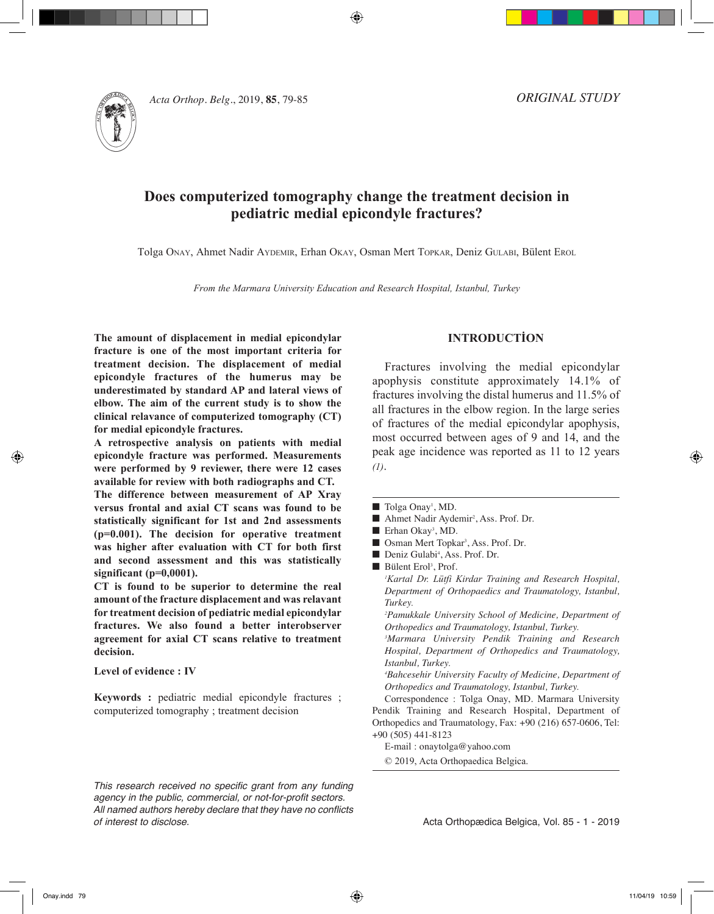⊕



*Acta Orthop. Belg.*, 2019, **85**, 79-85

*ORIGINAL STUDY*

# **Does computerized tomography change the treatment decision in pediatric medial epicondyle fractures?**

Tolga Onay, Ahmet Nadir Aydemir, Erhan Okay, Osman Mert Topkar, Deniz Gulabi, Bülent Erol

*From the Marmara University Education and Research Hospital, Istanbul, Turkey*

**The amount of displacement in medial epicondylar fracture is one of the most important criteria for treatment decision. The displacement of medial epicondyle fractures of the humerus may be underestimated by standard AP and lateral views of elbow. The aim of the current study is to show the clinical relavance of computerized tomography (CT) for medial epicondyle fractures.**

**A retrospective analysis on patients with medial epicondyle fracture was performed. Measurements were performed by 9 reviewer, there were 12 cases available for review with both radiographs and CT.**

**The difference between measurement of AP Xray versus frontal and axial CT scans was found to be statistically significant for 1st and 2nd assessments (p=0.001). The decision for operative treatment was higher after evaluation with CT for both first and second assessment and this was statistically significant (p=0,0001).** 

**CT is found to be superior to determine the real amount of the fracture displacement and was relavant for treatment decision of pediatric medial epicondylar fractures. We also found a better interobserver agreement for axial CT scans relative to treatment decision.** 

## **Level of evidence : IV**

**Keywords :** pediatric medial epicondyle fractures ; computerized tomography ; treatment decision

**INTRODUCTİON**

Fractures involving the medial epicondylar apophysis constitute approximately 14.1% of fractures involving the distal humerus and 11.5% of all fractures in the elbow region. In the large series of fractures of the medial epicondylar apophysis, most occurred between ages of 9 and 14, and the peak age incidence was reported as 11 to 12 years *(1)*.

■ Tolga Onay<sup>1</sup>, MD.

- Ahmet Nadir Aydemir<sup>2</sup>, Ass. Prof. Dr.
- Erhan Okay<sup>3</sup>, MD.
- Osman Mert Topkar<sup>3</sup>, Ass. Prof. Dr.
- Deniz Gulabi<sup>4</sup>, Ass. Prof. Dr.
- Bülent Erol<sup>3</sup>, Prof.

*1 Kartal Dr. Lütfi Kirdar Training and Research Hospital, Department of Orthopaedics and Traumatology, Istanbul, Turkey.*

*2 Pamukkale University School of Medicine, Department of Orthopedics and Traumatology, Istanbul, Turkey.*

*3 Marmara University Pendik Training and Research Hospital, Department of Orthopedics and Traumatology, Istanbul, Turkey.*

*4 Bahcesehir University Faculty of Medicine, Department of Orthopedics and Traumatology, Istanbul, Turkey.*

Correspondence : Tolga Onay, MD. Marmara University Pendik Training and Research Hospital, Department of Orthopedics and Traumatology, Fax: +90 (216) 657-0606, Tel: +90 (505) 441-8123

E-mail : onaytolga@yahoo.com

© 2019, Acta Orthopaedica Belgica.

*This research received no specific grant from any funding agency in the public, commercial, or not-for-profit sectors. All named authors hereby declare that they have no conflicts of interest to disclose.*

Acta Orthopædica Belgica, Vol. 85 - 1 - 2019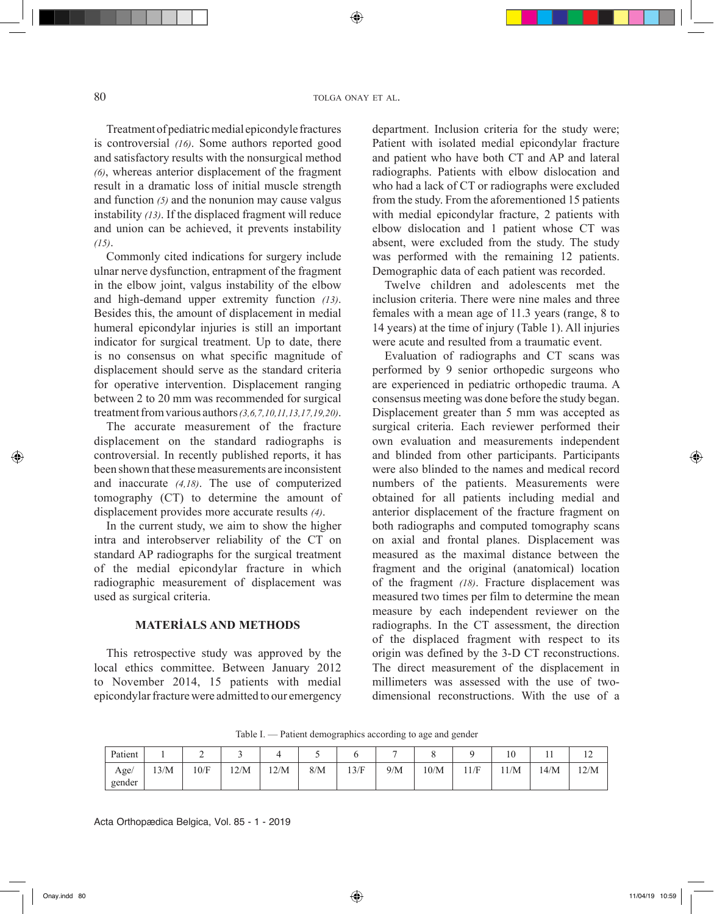◈

Treatment of pediatric medial epicondyle fractures is controversial *(16)*. Some authors reported good and satisfactory results with the nonsurgical method *(6)*, whereas anterior displacement of the fragment result in a dramatic loss of initial muscle strength and function *(5)* and the nonunion may cause valgus instability *(13)*. If the displaced fragment will reduce and union can be achieved, it prevents instability *(15)*.

Commonly cited indications for surgery include ulnar nerve dysfunction, entrapment of the fragment in the elbow joint, valgus instability of the elbow and high-demand upper extremity function *(13)*. Besides this, the amount of displacement in medial humeral epicondylar injuries is still an important indicator for surgical treatment. Up to date, there is no consensus on what specific magnitude of displacement should serve as the standard criteria for operative intervention. Displacement ranging between 2 to 20 mm was recommended for surgical treatment from various authors *(3,6,7,10,11,13,17,19,20)*.

The accurate measurement of the fracture displacement on the standard radiographs is controversial. In recently published reports, it has been shown that these measurements are inconsistent and inaccurate *(4,18)*. The use of computerized tomography (CT) to determine the amount of displacement provides more accurate results *(4)*.

In the current study, we aim to show the higher intra and interobserver reliability of the CT on standard AP radiographs for the surgical treatment of the medial epicondylar fracture in which radiographic measurement of displacement was used as surgical criteria.

# **MATERİALS AND METHODS**

This retrospective study was approved by the local ethics committee. Between January 2012 to November 2014, 15 patients with medial epicondylar fracture were admitted to our emergency department. Inclusion criteria for the study were; Patient with isolated medial epicondylar fracture and patient who have both CT and AP and lateral radiographs. Patients with elbow dislocation and who had a lack of CT or radiographs were excluded from the study. From the aforementioned 15 patients with medial epicondylar fracture, 2 patients with elbow dislocation and 1 patient whose CT was absent, were excluded from the study. The study was performed with the remaining 12 patients. Demographic data of each patient was recorded.

Twelve children and adolescents met the inclusion criteria. There were nine males and three females with a mean age of 11.3 years (range, 8 to 14 years) at the time of injury (Table 1). All injuries were acute and resulted from a traumatic event.

Evaluation of radiographs and CT scans was performed by 9 senior orthopedic surgeons who are experienced in pediatric orthopedic trauma. A consensus meeting was done before the study began. Displacement greater than 5 mm was accepted as surgical criteria. Each reviewer performed their own evaluation and measurements independent and blinded from other participants. Participants were also blinded to the names and medical record numbers of the patients. Measurements were obtained for all patients including medial and anterior displacement of the fracture fragment on both radiographs and computed tomography scans on axial and frontal planes. Displacement was measured as the maximal distance between the fragment and the original (anatomical) location of the fragment *(18)*. Fracture displacement was measured two times per film to determine the mean measure by each independent reviewer on the radiographs. In the CT assessment, the direction of the displaced fragment with respect to its origin was defined by the 3-D CT reconstructions. The direct measurement of the displacement in millimeters was assessed with the use of twodimensional reconstructions. With the use of a

| Patient |      | -<br>∼ |      |      | ັ   |      | -   |      |      | 10   | <b>TT</b> | $\sim$<br>$\overline{1}$ |
|---------|------|--------|------|------|-----|------|-----|------|------|------|-----------|--------------------------|
| Age/    | 13/M | 10/F   | 12/M | 12/M | 8/M | 13/F | 9/M | 10/M | 11/F | 11/M | 14/M      | 12/M                     |
| gender  |      |        |      |      |     |      |     |      |      |      |           |                          |

Table I. — Patient demographics according to age and gender

Acta Orthopædica Belgica, Vol. 85 - 1 - 2019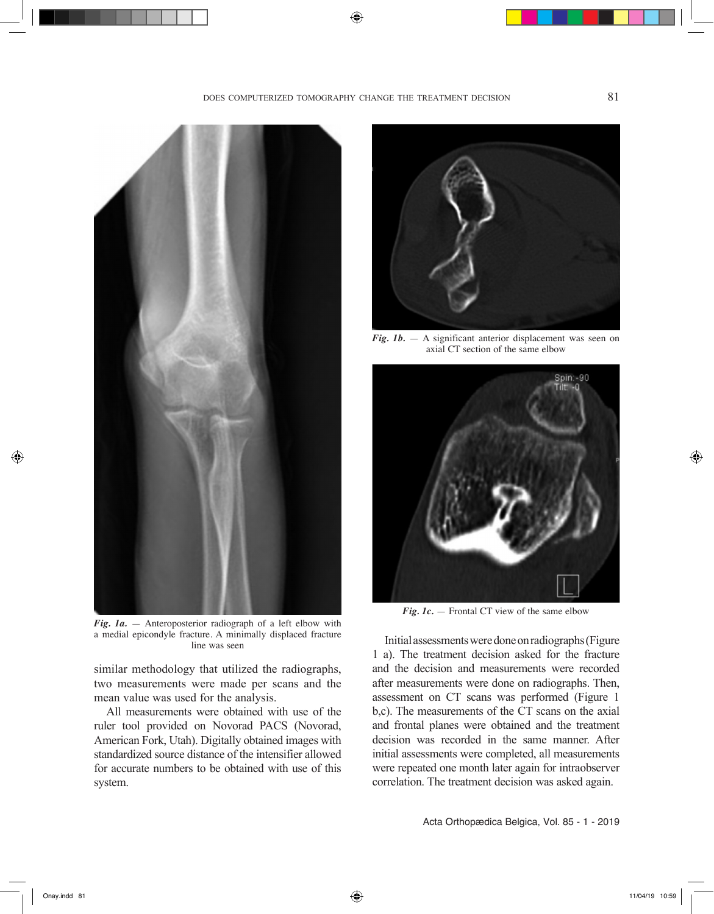◈



*Fig. 1a.* — Anteroposterior radiograph of a left elbow with a medial epicondyle fracture. A minimally displaced fracture line was seen

similar methodology that utilized the radiographs, two measurements were made per scans and the mean value was used for the analysis.

All measurements were obtained with use of the ruler tool provided on Novorad PACS (Novorad, American Fork, Utah). Digitally obtained images with standardized source distance of the intensifier allowed for accurate numbers to be obtained with use of this system.



*Fig. 1b.*  $-$  A significant anterior displacement was seen on axial CT section of the same elbow



*Fig. 1c.* — Frontal CT view of the same elbow

Initial assessments were done on radiographs (Figure 1 a). The treatment decision asked for the fracture and the decision and measurements were recorded after measurements were done on radiographs. Then, assessment on CT scans was performed (Figure 1 b,c). The measurements of the CT scans on the axial and frontal planes were obtained and the treatment decision was recorded in the same manner. After initial assessments were completed, all measurements were repeated one month later again for intraobserver correlation. The treatment decision was asked again.

Acta Orthopædica Belgica, Vol. 85 - 1 - 2019

◈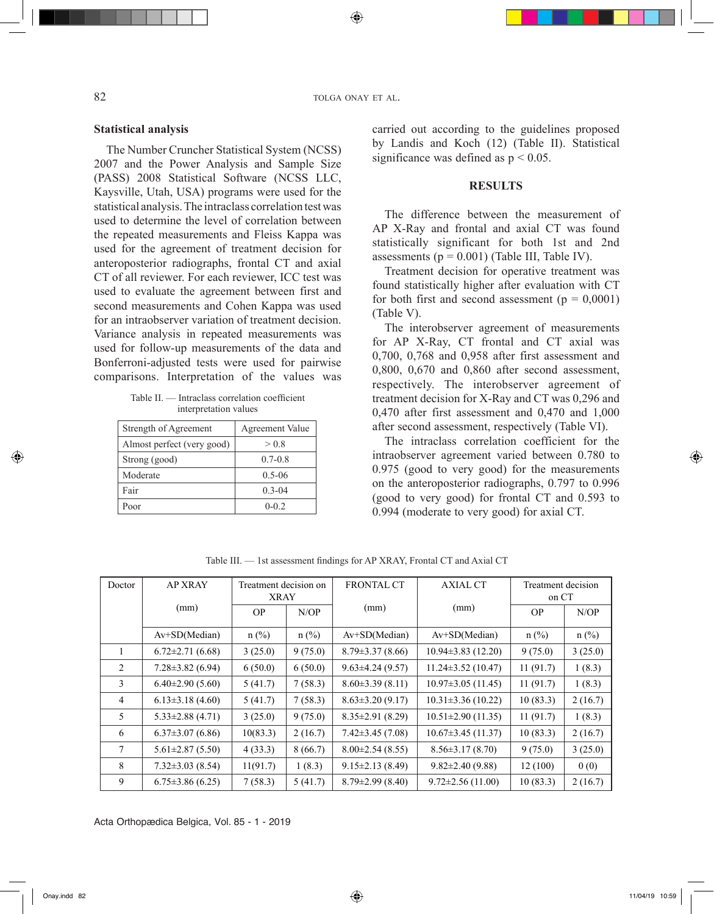82 tolga on a tolga on a tolga on a tolga on a tolga on a tolga on a tolga on a tolga on a tolga on a tolga on a tolga on a tolga on a tolga on a tolga on a tolga on a tolga on a tolga on a tolga on a tolga on a tolga on a

◈

# **Statistical analysis**

The Number Cruncher Statistical System (NCSS) 2007 and the Power Analysis and Sample Size (PASS) 2008 Statistical Software (NCSS LLC, Kaysville, Utah, USA) programs were used for the statistical analysis. The intraclass correlation test was used to determine the level of correlation between the repeated measurements and Fleiss Kappa was used for the agreement of treatment decision for anteroposterior radiographs, frontal CT and axial CT of all reviewer. For each reviewer, ICC test was used to evaluate the agreement between first and second measurements and Cohen Kappa was used for an intraobserver variation of treatment decision. Variance analysis in repeated measurements was used for follow-up measurements of the data and Bonferroni-adjusted tests were used for pairwise comparisons. Interpretation of the values was

| Table II. — Intraclass correlation coefficient |                       |  |
|------------------------------------------------|-----------------------|--|
|                                                | interpretation values |  |

| Strength of Agreement      | <b>Agreement Value</b> |
|----------------------------|------------------------|
| Almost perfect (very good) | > 0.8                  |
| Strong (good)              | $0.7 - 0.8$            |
| Moderate                   | $0.5 - 06$             |
| Fair                       | $0.3 - 04$             |
| Poor                       | $0 - 0.2$              |

carried out according to the guidelines proposed by Landis and Koch (12) (Table II). Statistical significance was defined as  $p < 0.05$ .

#### **RESULTS**

The difference between the measurement of AP X-Ray and frontal and axial CT was found statistically significant for both 1st and 2nd assessments ( $p = 0.001$ ) (Table III, Table IV).

Treatment decision for operative treatment was found statistically higher after evaluation with CT for both first and second assessment ( $p = 0,0001$ ) (Table V).

The interobserver agreement of measurements for AP X-Ray, CT frontal and CT axial was 0,700, 0,768 and 0,958 after first assessment and 0,800, 0,670 and 0,860 after second assessment, respectively. The interobserver agreement of treatment decision for X-Ray and CT was 0,296 and 0,470 after first assessment and 0,470 and 1,000 after second assessment, respectively (Table VI).

The intraclass correlation coefficient for the intraobserver agreement varied between 0.780 to 0.975 (good to very good) for the measurements on the anteroposterior radiographs, 0.797 to 0.996 (good to very good) for frontal CT and 0.593 to 0.994 (moderate to very good) for axial CT.

| Doctor          | <b>AP XRAY</b>         | Treatment decision on<br><b>XRAY</b> |         | <b>FRONTAL CT</b>      | <b>AXIAL CT</b>          | Treatment decision<br>on CT |         |
|-----------------|------------------------|--------------------------------------|---------|------------------------|--------------------------|-----------------------------|---------|
|                 | (mm)                   | OP.                                  | $N$ OP  | (mm)                   | (mm)                     | <b>OP</b>                   | N/OP    |
|                 | $Av+SD(Median)$        | $n$ (%)                              | $n$ (%) | Av+SD(Median)          | Av+SD(Median)            | $n$ (%)                     | $n$ (%) |
|                 | $6.72 \pm 2.71(6.68)$  | 3(25.0)                              | 9(75.0) | $8.79 \pm 3.37$ (8.66) | $10.94\pm3.83(12.20)$    | 9(75.0)                     | 3(25.0) |
| 2               | $7.28 \pm 3.82$ (6.94) | 6(50.0)                              | 6(50.0) | $9.63 \pm 4.24$ (9.57) | $11.24 \pm 3.52$ (10.47) | 11(91.7)                    | 1(8.3)  |
| 3               | $6.40\pm2.90(5.60)$    | 5(41.7)                              | 7(58.3) | $8.60\pm3.39(8.11)$    | $10.97 \pm 3.05$ (11.45) | 11(91.7)                    | 1(8.3)  |
| $\overline{4}$  | $6.13\pm3.18(4.60)$    | 5(41.7)                              | 7(58.3) | $8.63 \pm 3.20$ (9.17) | $10.31 \pm 3.36(10.22)$  | 10(83.3)                    | 2(16.7) |
| 5               | $5.33\pm2.88(4.71)$    | 3(25.0)                              | 9(75.0) | $8.35 \pm 2.91$ (8.29) | $10.51 \pm 2.90$ (11.35) | 11(91.7)                    | 1(8.3)  |
| 6               | $6.37\pm3.07(6.86)$    | 10(83.3)                             | 2(16.7) | $7.42 \pm 3.45(7.08)$  | $10.67 \pm 3.45$ (11.37) | 10(83.3)                    | 2(16.7) |
| $7\phantom{.0}$ | $5.61 \pm 2.87$ (5.50) | 4(33.3)                              | 8(66.7) | $8.00 \pm 2.54$ (8.55) | $8.56 \pm 3.17(8.70)$    | 9(75.0)                     | 3(25.0) |
| 8               | $7.32 \pm 3.03$ (8.54) | 11(91.7)                             | 1(8.3)  | $9.15 \pm 2.13(8.49)$  | $9.82 \pm 2.40$ (9.88)   | 12(100)                     | 0(0)    |
| 9               | $6.75 \pm 3.86$ (6.25) | 7(58.3)                              | 5(41.7) | $8.79 \pm 2.99$ (8.40) | $9.72 \pm 2.56$ (11.00)  | 10(83.3)                    | 2(16.7) |

Table III. — 1st assessment findings for AP XRAY, Frontal CT and Axial CT

Acta Orthopædica Belgica, Vol. 85 - 1 - 2019

◈

⊕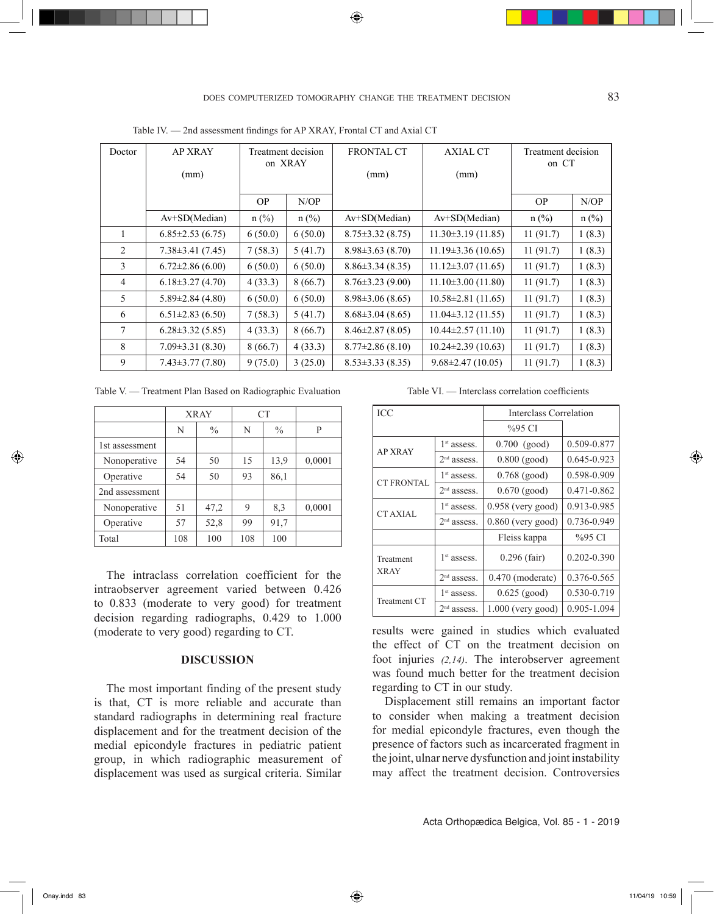◈

Table IV. — 2nd assessment findings for AP XRAY, Frontal CT and Axial CT

| Doctor         | <b>AP XRAY</b>         | on XRAY | Treatment decision | <b>FRONTAL CT</b>      | <b>AXIAL CT</b>          | Treatment decision<br>on CT |         |
|----------------|------------------------|---------|--------------------|------------------------|--------------------------|-----------------------------|---------|
|                | (mm)                   |         |                    | (mm)                   | (mm)                     |                             |         |
|                |                        | OP.     | N/OP               |                        |                          | <b>OP</b>                   | $N$ OP  |
|                | Av+SD(Median)          | $n$ (%) | $n$ (%)            | $Av+SD(Median)$        | $Av+SD(Median)$          | $n$ (%)                     | $n$ (%) |
| 1              | $6.85 \pm 2.53(6.75)$  | 6(50.0) | 6(50.0)            | $8.75 \pm 3.32$ (8.75) | $11.30\pm3.19(11.85)$    | 11(91.7)                    | 1(8.3)  |
| $\overline{2}$ | $7.38 \pm 3.41$ (7.45) | 7(58.3) | 5(41.7)            | $8.98 \pm 3.63$ (8.70) | $11.19\pm3.36(10.65)$    | 11(91.7)                    | 1(8.3)  |
| 3              | $6.72\pm2.86(6.00)$    | 6(50.0) | 6(50.0)            | $8.86 \pm 3.34$ (8.35) | $11.12 \pm 3.07$ (11.65) | 11(91.7)                    | 1(8.3)  |
| $\overline{4}$ | $6.18\pm3.27(4.70)$    | 4(33.3) | 8(66.7)            | $8.76 \pm 3.23$ (9.00) | $11.10\pm3.00(11.80)$    | 11(91.7)                    | 1(8.3)  |
| 5              | $5.89 \pm 2.84$ (4.80) | 6(50.0) | 6(50.0)            | $8.98\pm3.06(8.65)$    | $10.58 \pm 2.81$ (11.65) | 11(91.7)                    | 1(8.3)  |
| 6              | $6.51\pm2.83(6.50)$    | 7(58.3) | 5(41.7)            | $8.68 \pm 3.04$ (8.65) | $11.04\pm3.12(11.55)$    | 11(91.7)                    | 1(8.3)  |
| 7              | $6.28 \pm 3.32$ (5.85) | 4(33.3) | 8(66.7)            | $8.46 \pm 2.87$ (8.05) | $10.44 \pm 2.57(11.10)$  | 11(91.7)                    | 1(8.3)  |
| 8              | $7.09 \pm 3.31$ (8.30) | 8(66.7) | 4(33.3)            | $8.77 \pm 2.86$ (8.10) | $10.24 \pm 2.39$ (10.63) | 11(91.7)                    | 1(8.3)  |
| 9              | $7.43 \pm 3.77(7.80)$  | 9(75.0) | 3(25.0)            | $8.53 \pm 3.33$ (8.35) | $9.68 \pm 2.47(10.05)$   | 11(91.7)                    | 1(8.3)  |

Table V. — Treatment Plan Based on Radiographic Evaluation

|                | <b>XRAY</b> |               |     | <b>CT</b>     |        |
|----------------|-------------|---------------|-----|---------------|--------|
|                | N           | $\frac{0}{0}$ | N   | $\frac{0}{0}$ | P      |
| 1st assessment |             |               |     |               |        |
| Nonoperative   | 54          | 50            | 15  | 13.9          | 0,0001 |
| Operative      | 54          | 50            | 93  | 86,1          |        |
| 2nd assessment |             |               |     |               |        |
| Nonoperative   | 51          | 47,2          | 9   | 8,3           | 0,0001 |
| Operative      | 57          | 52,8          | 99  | 91,7          |        |
| Total          | 108         | 100           | 108 | 100           |        |

The intraclass correlation coefficient for the intraobserver agreement varied between 0.426 to 0.833 (moderate to very good) for treatment decision regarding radiographs, 0.429 to 1.000 (moderate to very good) regarding to CT.

## **DISCUSSION**

The most important finding of the present study is that, CT is more reliable and accurate than standard radiographs in determining real fracture displacement and for the treatment decision of the medial epicondyle fractures in pediatric patient group, in which radiographic measurement of displacement was used as surgical criteria. Similar

Table VI. — Interclass correlation coefficients

| <b>ICC</b>          |               | <b>Interclass Correlation</b> |             |  |  |
|---------------------|---------------|-------------------------------|-------------|--|--|
|                     |               | %95 CI                        |             |  |  |
| <b>AP XRAY</b>      | $1st$ assess. | $0.700$ (good)                | 0.509-0.877 |  |  |
|                     | $2nd$ assess. | $0.800$ (good)                | 0.645-0.923 |  |  |
| <b>CT FRONTAL</b>   | $1st$ assess. | $0.768$ (good)                | 0.598-0.909 |  |  |
|                     | $2nd$ assess. | $0.670$ (good)                | 0.471-0.862 |  |  |
| CT AXIAL            | $1st$ assess. | $0.958$ (very good)           | 0.913-0.985 |  |  |
|                     | $2nd$ assess. | $0.860$ (very good)           | 0.736-0.949 |  |  |
|                     |               | Fleiss kappa                  | %95 CI      |  |  |
| Treatment           | $1st$ assess. | $0.296$ (fair)                | 0.202-0.390 |  |  |
| <b>XRAY</b>         | $2nd$ assess. | $0.470$ (moderate)            | 0.376-0.565 |  |  |
| <b>Treatment CT</b> | $1st$ assess. | $0.625$ (good)                | 0.530-0.719 |  |  |
|                     | $2nd$ assess. | 1.000 (very good)             | 0.905-1.094 |  |  |

results were gained in studies which evaluated the effect of CT on the treatment decision on foot injuries *(2,14)*. The interobserver agreement was found much better for the treatment decision regarding to CT in our study.

Displacement still remains an important factor to consider when making a treatment decision for medial epicondyle fractures, even though the presence of factors such as incarcerated fragment in the joint, ulnar nerve dysfunction and joint instability may affect the treatment decision. Controversies

Acta Orthopædica Belgica, Vol. 85 - 1 - 2019

◈

⊕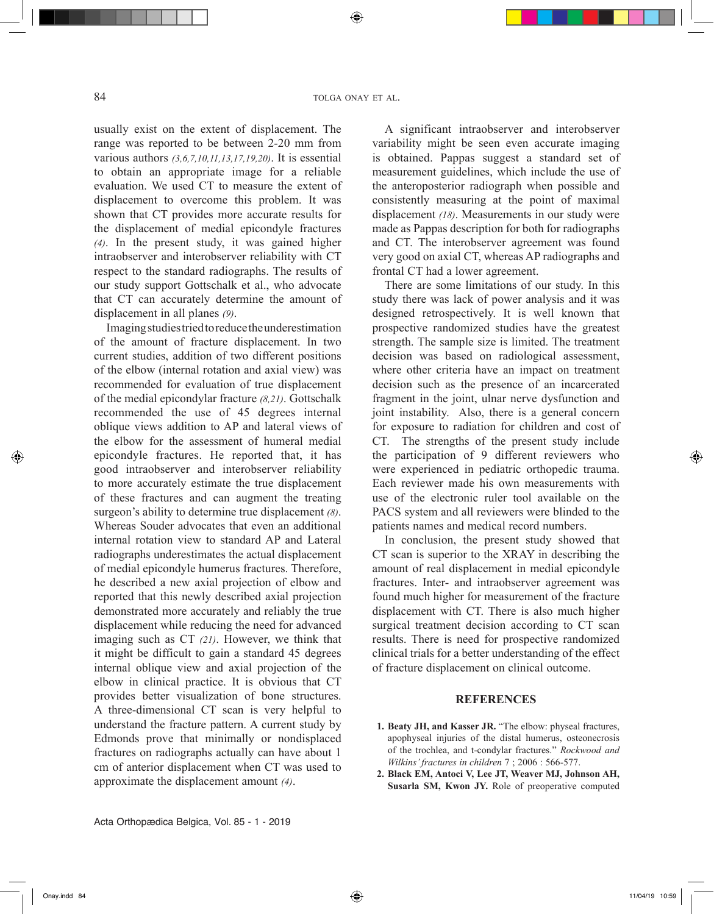⊕

usually exist on the extent of displacement. The range was reported to be between 2-20 mm from various authors *(3,6,7,10,11,13,17,19,20)*. It is essential to obtain an appropriate image for a reliable evaluation. We used CT to measure the extent of displacement to overcome this problem. It was shown that CT provides more accurate results for the displacement of medial epicondyle fractures *(4)*. In the present study, it was gained higher intraobserver and interobserver reliability with CT respect to the standard radiographs. The results of our study support Gottschalk et al., who advocate that CT can accurately determine the amount of displacement in all planes *(9)*.

Imaging studies tried to reduce the underestimation of the amount of fracture displacement. In two current studies, addition of two different positions of the elbow (internal rotation and axial view) was recommended for evaluation of true displacement of the medial epicondylar fracture *(8,21)*. Gottschalk recommended the use of 45 degrees internal oblique views addition to AP and lateral views of the elbow for the assessment of humeral medial epicondyle fractures. He reported that, it has good intraobserver and interobserver reliability to more accurately estimate the true displacement of these fractures and can augment the treating surgeon's ability to determine true displacement *(8)*. Whereas Souder advocates that even an additional internal rotation view to standard AP and Lateral radiographs underestimates the actual displacement of medial epicondyle humerus fractures. Therefore, he described a new axial projection of elbow and reported that this newly described axial projection demonstrated more accurately and reliably the true displacement while reducing the need for advanced imaging such as CT *(21)*. However, we think that it might be difficult to gain a standard 45 degrees internal oblique view and axial projection of the elbow in clinical practice. It is obvious that CT provides better visualization of bone structures. A three-dimensional CT scan is very helpful to understand the fracture pattern. A current study by Edmonds prove that minimally or nondisplaced fractures on radiographs actually can have about 1 cm of anterior displacement when CT was used to approximate the displacement amount *(4)*.

A significant intraobserver and interobserver variability might be seen even accurate imaging is obtained. Pappas suggest a standard set of measurement guidelines, which include the use of the anteroposterior radiograph when possible and consistently measuring at the point of maximal displacement *(18)*. Measurements in our study were made as Pappas description for both for radiographs and CT. The interobserver agreement was found very good on axial CT, whereas AP radiographs and frontal CT had a lower agreement.

There are some limitations of our study. In this study there was lack of power analysis and it was designed retrospectively. It is well known that prospective randomized studies have the greatest strength. The sample size is limited. The treatment decision was based on radiological assessment, where other criteria have an impact on treatment decision such as the presence of an incarcerated fragment in the joint, ulnar nerve dysfunction and joint instability. Also, there is a general concern for exposure to radiation for children and cost of CT. The strengths of the present study include the participation of 9 different reviewers who were experienced in pediatric orthopedic trauma. Each reviewer made his own measurements with use of the electronic ruler tool available on the PACS system and all reviewers were blinded to the patients names and medical record numbers.

In conclusion, the present study showed that CT scan is superior to the XRAY in describing the amount of real displacement in medial epicondyle fractures. Inter- and intraobserver agreement was found much higher for measurement of the fracture displacement with CT. There is also much higher surgical treatment decision according to CT scan results. There is need for prospective randomized clinical trials for a better understanding of the effect of fracture displacement on clinical outcome.

## **REFERENCES**

- **1. Beaty JH, and Kasser JR.** "The elbow: physeal fractures, apophyseal injuries of the distal humerus, osteonecrosis of the trochlea, and t-condylar fractures." *Rockwood and Wilkins' fractures in children* 7 ; 2006 : 566-577.
- **2. Black EM, Antoci V, Lee JT, Weaver MJ, Johnson AH, Susarla SM, Kwon JY.** Role of preoperative computed

Onay.indd 84 11/04/19 10:59

⊕